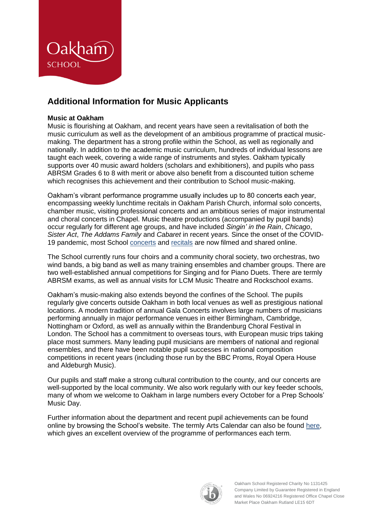

# **Additional Information for Music Applicants**

## **Music at Oakham**

Music is flourishing at Oakham, and recent years have seen a revitalisation of both the music curriculum as well as the development of an ambitious programme of practical musicmaking. The department has a strong profile within the School, as well as regionally and nationally. In addition to the academic music curriculum, hundreds of individual lessons are taught each week, covering a wide range of instruments and styles. Oakham typically supports over 40 music award holders (scholars and exhibitioners), and pupils who pass ABRSM Grades 6 to 8 with merit or above also benefit from a discounted tuition scheme which recognises this achievement and their contribution to School music-making.

Oakham's vibrant performance programme usually includes up to 80 concerts each year, encompassing weekly lunchtime recitals in Oakham Parish Church, informal solo concerts, chamber music, visiting professional concerts and an ambitious series of major instrumental and choral concerts in Chapel. Music theatre productions (accompanied by pupil bands) occur regularly for different age groups, and have included *Singin' in the Rain*, *Chicago*, *Sister Act*, *The Addams Family* and *Cabaret* in recent years. Since the onset of the COVID-19 pandemic, most School [concerts](https://bit.ly/oakhammusiclive) and [recitals](https://bit.ly/oakhammusic) are now filmed and shared online.

The School currently runs four choirs and a community choral society, two orchestras, two wind bands, a big band as well as many training ensembles and chamber groups. There are two well-established annual competitions for Singing and for Piano Duets. There are termly ABRSM exams, as well as annual visits for LCM Music Theatre and Rockschool exams.

Oakham's music-making also extends beyond the confines of the School. The pupils regularly give concerts outside Oakham in both local venues as well as prestigious national locations. A modern tradition of annual Gala Concerts involves large numbers of musicians performing annually in major performance venues in either Birmingham, Cambridge, Nottingham or Oxford, as well as annually within the Brandenburg Choral Festival in London. The School has a commitment to overseas tours, with European music trips taking place most summers. Many leading pupil musicians are members of national and regional ensembles, and there have been notable pupil successes in national composition competitions in recent years (including those run by the BBC Proms, Royal Opera House and Aldeburgh Music).

Our pupils and staff make a strong cultural contribution to the county, and our concerts are well-supported by the local community. We also work regularly with our key feeder schools, many of whom we welcome to Oakham in large numbers every October for a Prep Schools' Music Day.

Further information about the department and recent pupil achievements can be found online by browsing the School's website. The termly Arts Calendar can also be found [here,](https://www.oakham.rutland.sch.uk/the-arts/oakham-school-arts-calendar) which gives an excellent overview of the programme of performances each term.